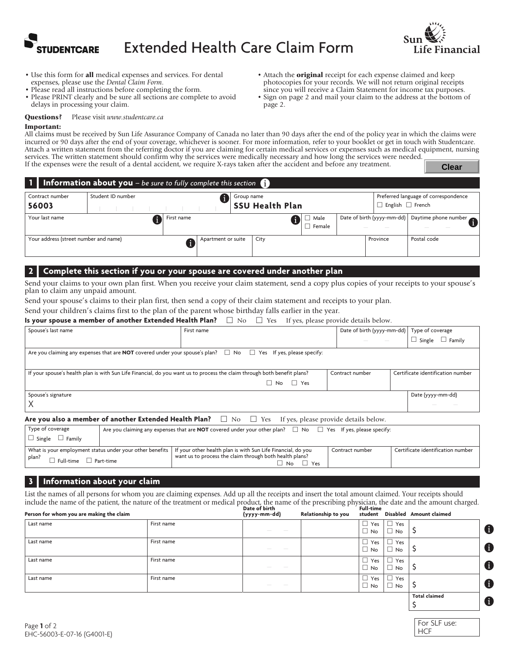



- Use this form for all medical expenses and services. For dental expenses, please use the *Dental Claim Form*.
- Please read all instructions before completing the form.
- Please PRINT clearly and be sure all sections are complete to avoid delays in processing your claim.
- Attach the **original** receipt for each expense claimed and keep photocopies for your records. We will not return original receipts since you will receive a Claim Statement for income tax purposes.
- Sign on page 2 and mail your claim to the address at the bottom of page 2.

Questions? Please visit *www.studentcare.ca*

#### Important:

All claims must be received by Sun Life Assurance Company of Canada no later than 90 days after the end of the policy year in which the claims were incurred or 90 days after the end of your coverage, whichever is sooner. For more information, refer to your booklet or get in touch with Studentcare. Attach a written statement from the referring doctor if you are claiming for certain medical services or expenses such as medical equipment, nursing services. The written statement should confirm why the services were medically necessary and how long the services were needed. If the expenses were the result of a dental accident, we require X-rays taken after the accident and before any treatment. **Clear**

|                                       | <b>1</b> Information about you – be sure to fully complete this section $\bullet$ |                    |            |                        |                |                              |                                      |
|---------------------------------------|-----------------------------------------------------------------------------------|--------------------|------------|------------------------|----------------|------------------------------|--------------------------------------|
| Contract number                       | Student ID number                                                                 |                    | Group name |                        |                |                              | Preferred language of correspondence |
| 56003                                 |                                                                                   |                    |            | <b>SSU Health Plan</b> |                | $\Box$ English $\Box$ French |                                      |
| Your last name                        |                                                                                   | First name         |            |                        | Male<br>Female | Date of birth (yyyy-mm-dd)   | Daytime phone number                 |
| Your address (street number and name) |                                                                                   | Apartment or suite |            | City                   |                | Province                     | Postal code                          |

### **2 | Complete this section if you or your spouse are covered under another plan**

Send your claims to your own plan first. When you receive your claim statement, send a copy plus copies of your receipts to your spouse's plan to claim any unpaid amount.

Send your spouse's claims to their plan first, then send a copy of their claim statement and receipts to your plan.

Send your children's claims first to the plan of the parent whose birthday falls earlier in the year.

**Is your spouse a member of another Extended Health Plan?**  $\Box$  **No**  $\Box$  **Yes If yes, please provide details below.** 

| Spouse's last name                                                                                                                                                                                       |                                                                                                                   | First name                                                                                                                    |                                 | Date of birth (yyyy-mm-dd) Type of coverage |  |
|----------------------------------------------------------------------------------------------------------------------------------------------------------------------------------------------------------|-------------------------------------------------------------------------------------------------------------------|-------------------------------------------------------------------------------------------------------------------------------|---------------------------------|---------------------------------------------|--|
|                                                                                                                                                                                                          |                                                                                                                   |                                                                                                                               | the contract of the contract of | $\Box$ Single $\Box$ Family                 |  |
| Are you claiming any expenses that are <b>NOT</b> covered under your spouse's plan? $\Box$ No $\Box$ Yes If yes, please specify:                                                                         |                                                                                                                   |                                                                                                                               |                                 |                                             |  |
| Certificate identification number<br>If your spouse's health plan is with Sun Life Financial, do you want us to process the claim through both benefit plans?<br>Contract number<br>$\Box$ No $\Box$ Yes |                                                                                                                   |                                                                                                                               |                                 |                                             |  |
| Spouse's signature                                                                                                                                                                                       |                                                                                                                   |                                                                                                                               |                                 | Date (yyyy-mm-dd)                           |  |
|                                                                                                                                                                                                          | Are you also a member of another Extended Health Plan? $\Box$ No $\Box$ Yes If yes, please provide details below. |                                                                                                                               |                                 |                                             |  |
| Type of coverage                                                                                                                                                                                         |                                                                                                                   | Are you claiming any expenses that are <b>NOT</b> covered under your other plan? $\Box$ No $\Box$ Yes If yes, please specify: |                                 |                                             |  |

| $\Box$ Single<br>$\Box$ Family |                                                                                                                                                                                    |                 |                                   |
|--------------------------------|------------------------------------------------------------------------------------------------------------------------------------------------------------------------------------|-----------------|-----------------------------------|
| plan?                          | What is your employment status under your other benefits   If your other health plan is with Sun Life Financial, do you<br>want us to process the claim through both health plans? | Contract number | Certificate identification number |
| Full-time<br>Part-time         | Yes<br>No                                                                                                                                                                          |                 |                                   |

### **3 | Information about your claim**

List the names of all persons for whom you are claiming expenses. Add up all the receipts and insert the total amount claimed. Your receipts should include the name of the patient, the nature of the treatment or medical product, the name of the prescribing physician, the date and the amount charged. **Date** of **birth** 

| Person for whom you are making the claim |            | ---- -- --- --<br>(yyyy-mm-dd)                                                                                                                                                                                                                                                                                                                                                                                                                                                       | Relationship to you | .                          |                                             | student Disabled Amount claimed |   |
|------------------------------------------|------------|--------------------------------------------------------------------------------------------------------------------------------------------------------------------------------------------------------------------------------------------------------------------------------------------------------------------------------------------------------------------------------------------------------------------------------------------------------------------------------------|---------------------|----------------------------|---------------------------------------------|---------------------------------|---|
| Last name                                | First name | $\sim$<br>$\frac{1}{2} \left( \frac{1}{2} \right) \left( \frac{1}{2} \right) \left( \frac{1}{2} \right) \left( \frac{1}{2} \right) \left( \frac{1}{2} \right) \left( \frac{1}{2} \right) \left( \frac{1}{2} \right) \left( \frac{1}{2} \right) \left( \frac{1}{2} \right) \left( \frac{1}{2} \right) \left( \frac{1}{2} \right) \left( \frac{1}{2} \right) \left( \frac{1}{2} \right) \left( \frac{1}{2} \right) \left( \frac{1}{2} \right) \left( \frac{1}{2} \right) \left( \frac$ |                     | □<br>Yes<br>$\Box$<br>No   | $\Box$ Yes<br>$\Box$ No                     |                                 | 6 |
| Last name                                | First name | $\sim$<br>$\frac{1}{2} \left( \frac{1}{2} \right) \left( \frac{1}{2} \right) \left( \frac{1}{2} \right) \left( \frac{1}{2} \right) \left( \frac{1}{2} \right) \left( \frac{1}{2} \right) \left( \frac{1}{2} \right) \left( \frac{1}{2} \right) \left( \frac{1}{2} \right) \left( \frac{1}{2} \right) \left( \frac{1}{2} \right) \left( \frac{1}{2} \right) \left( \frac{1}{2} \right) \left( \frac{1}{2} \right) \left( \frac{1}{2} \right) \left( \frac{1}{2} \right) \left( \frac$ |                     | □<br>Yes<br>□<br><b>No</b> | Yes<br><b>No</b>                            | ∍                               | 6 |
| Last name                                | First name | $\frac{1}{2} \left( \frac{1}{2} \right) \left( \frac{1}{2} \right) \left( \frac{1}{2} \right) \left( \frac{1}{2} \right) \left( \frac{1}{2} \right) \left( \frac{1}{2} \right) \left( \frac{1}{2} \right) \left( \frac{1}{2} \right) \left( \frac{1}{2} \right) \left( \frac{1}{2} \right) \left( \frac{1}{2} \right) \left( \frac{1}{2} \right) \left( \frac{1}{2} \right) \left( \frac{1}{2} \right) \left( \frac{1}{2} \right) \left( \frac{1}{2} \right) \left( \frac$           |                     | П<br>Yes<br>$\Box$<br>No   | Yes<br>$\overline{\phantom{a}}$<br>No       |                                 | 6 |
| Last name                                | First name | $\sim$                                                                                                                                                                                                                                                                                                                                                                                                                                                                               |                     | □<br>Yes<br>□<br><b>No</b> | Yes<br>$\overline{\phantom{a}}$<br>No.<br>ப |                                 | 6 |
|                                          |            |                                                                                                                                                                                                                                                                                                                                                                                                                                                                                      |                     |                            |                                             | <b>Total claimed</b>            | 6 |
|                                          |            |                                                                                                                                                                                                                                                                                                                                                                                                                                                                                      |                     |                            |                                             |                                 |   |